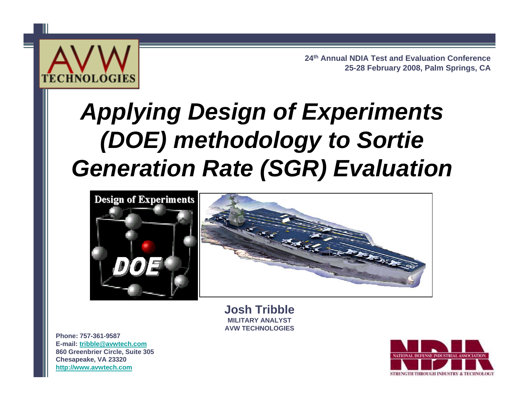

**24th Annual NDIA Test and Evaluation Conference 25-28 February 2008, Palm Springs, CA**

# *Applying Design of Experiments (DOE) methodology to Sortie Generation Rate (SGR) Evaluation*





**Josh TribbleMILITARY ANALYSTAVW TECHNOLOGIES**

**Phone: 757-361-9587E-mail: [tribble@avwtech.com](mailto:tribble@avwtech.com)860 Greenbrier Circle, Suite 305 Chesapeake, VA 23320 http:/[/www.avwtech.com](http://www.avwtech.com/)**

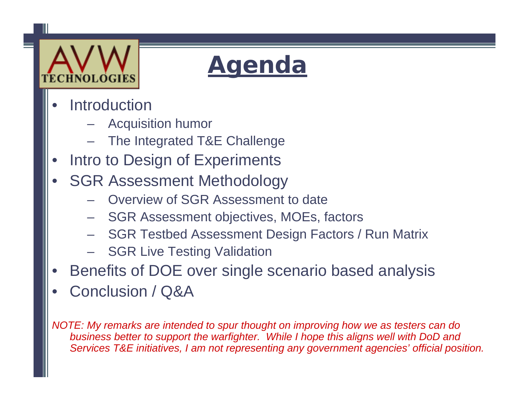

## **Agenda**

- •**Introduction** 
	- Acquisition humor
	- The Integrated T&E Challenge
- •Intro to Design of Experiments
- • SGR Assessment Methodology
	- Overview of SGR Assessment to date
	- SGR Assessment objectives, MOEs, factors
	- SGR Testbed Assessment Design Factors / Run Matrix
	- SGR Live Testing Validation
- •Benefits of DOE over single scenario based analysis
- •Conclusion / Q&A

*NOTE: My remarks are intended to spur thought on improving how we as testers can do business better to support the warfighter. While I hope this aligns well with DoD and Services T&E initiatives, I am not representing any government agencies' official position.*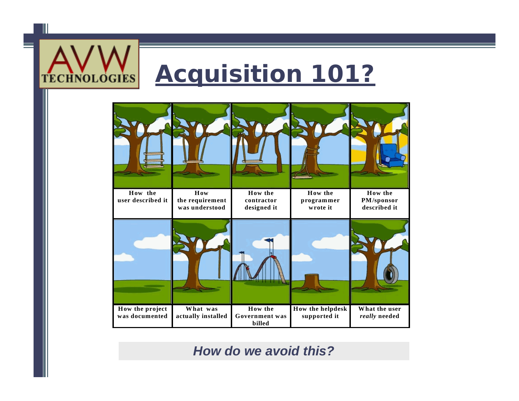

## **Acquisition 101?**



#### *How do we avoid this?*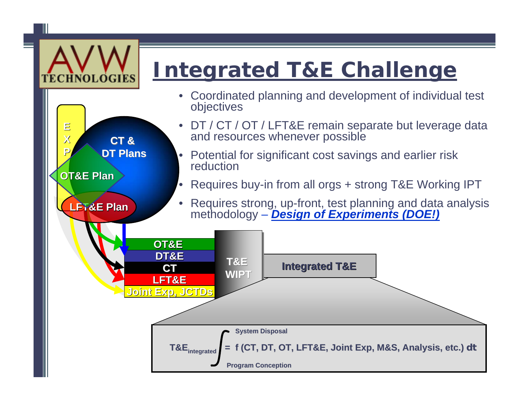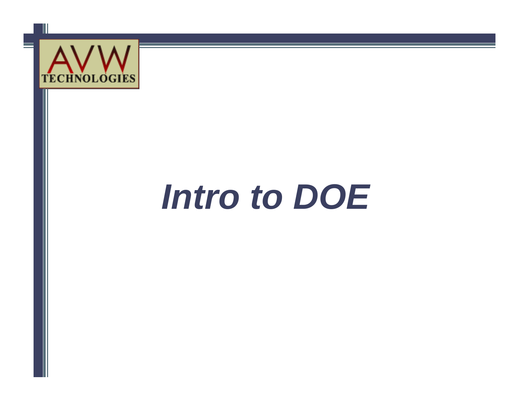

# *Intro to DOE*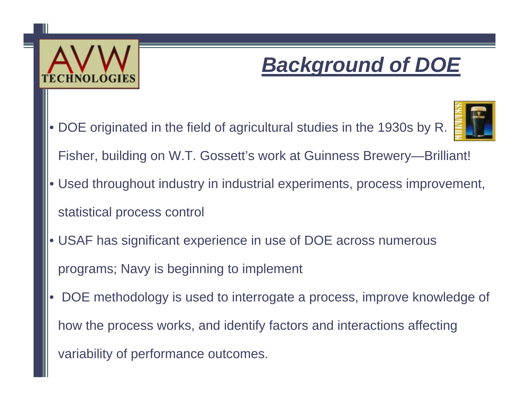

### *Background of DOE*

• DOE originated in the field of agricultural studies in the 1930s by R.



- Fisher, building on W.T. Gossett's work at Guinness Brewery—Brilliant!
- Used throughout industry in industrial experiments, process improvement, statistical process control
- USAF has significant experience in use of DOE across numerous programs; Navy is beginning to implement
- • DOE methodology is used to interrogate a process, improve knowledge of how the process works, and identify factors and interactions affecting variability of performance outcomes.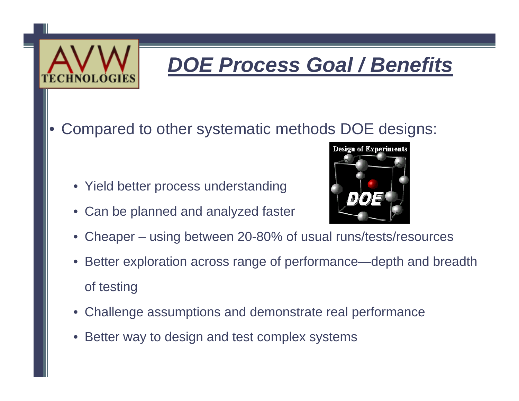

## *DOE Process Goal / Benefits*

•Compared to other systematic methods DOE designs:

- Yield better process understanding
- Can be planned and analyzed faster



- •Cheaper – using between 20-80% of usual runs/tests/resources
- Better exploration across range of performance—depth and breadth of testing
- Challenge assumptions and demonstrate real performance
- Better way to design and test complex systems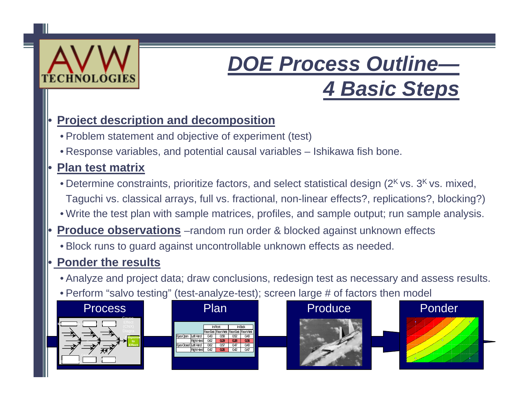

### *DOE Process Outline— 4 Basic Steps*

#### •**Project description and decomposition**

- Problem statement and objective of experiment (test)
- Response variables, and potential causal variables Ishikawa fish bone.

#### •**Plan test matrix**

- Determine constraints, prioritize factors, and select statistical design (2<sup>K</sup> vs. 3<sup>K</sup> vs. mixed, Taguchi vs. classical arrays, full vs. fractional, non-linear effects?, replications?, blocking?)
- Write the test plan with sample matrices, profiles, and sample output; run sample analysis.
- • **Produce observations** –random run order & blocked against unknown effects
	- Block runs to guard against uncontrollable unknown effects as needed.

#### •**Ponder the results**

- Analyze and project data; draw conclusions, redesign test as necessary and assess results.
- Perform "salvo testing" (test-analyze-test); screen large # of factors then model

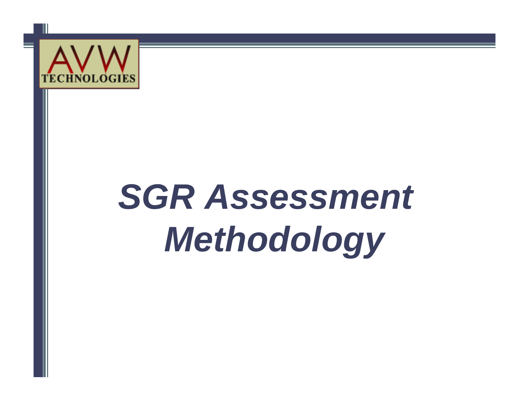

# *SGR Assessment Methodology*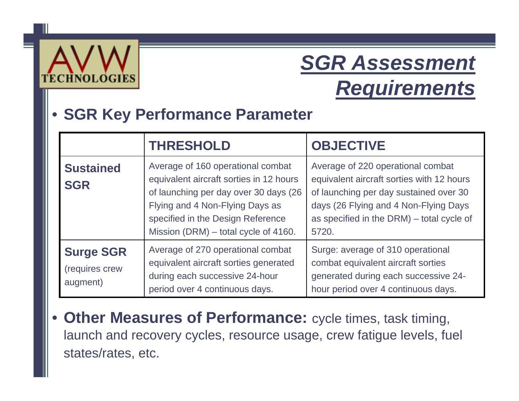

### *SGR Assessment Requirements*

#### •**SGR Key Performance Parameter**

|                                                | <b>THRESHOLD</b>                                                                                                                                                                                                                      | <b>OBJECTIVE</b>                                                                                                                                                                                                        |  |  |
|------------------------------------------------|---------------------------------------------------------------------------------------------------------------------------------------------------------------------------------------------------------------------------------------|-------------------------------------------------------------------------------------------------------------------------------------------------------------------------------------------------------------------------|--|--|
| <b>Sustained</b><br><b>SGR</b>                 | Average of 160 operational combat<br>equivalent aircraft sorties in 12 hours<br>of launching per day over 30 days (26<br>Flying and 4 Non-Flying Days as<br>specified in the Design Reference<br>Mission (DRM) – total cycle of 4160. | Average of 220 operational combat<br>equivalent aircraft sorties with 12 hours<br>of launching per day sustained over 30<br>days (26 Flying and 4 Non-Flying Days<br>as specified in the DRM) - total cycle of<br>5720. |  |  |
| <b>Surge SGR</b><br>(requires crew<br>augment) | Average of 270 operational combat<br>equivalent aircraft sorties generated<br>during each successive 24-hour<br>period over 4 continuous days.                                                                                        | Surge: average of 310 operational<br>combat equivalent aircraft sorties<br>generated during each successive 24-<br>hour period over 4 continuous days.                                                                  |  |  |

•**Other Measures of Performance:** cycle times, task timing, launch and recovery cycles, resource usage, crew fatigue levels, fuel states/rates, etc.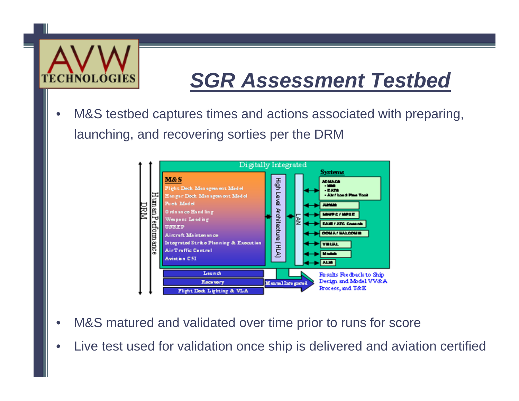

### *SGR Assessment Testbed*

• M&S testbed captures times and actions associated with preparing, launching, and recovering sorties per the DRM



- •M&S matured and validated over time prior to runs for score
- •Live test used for validation once ship is delivered and aviation certified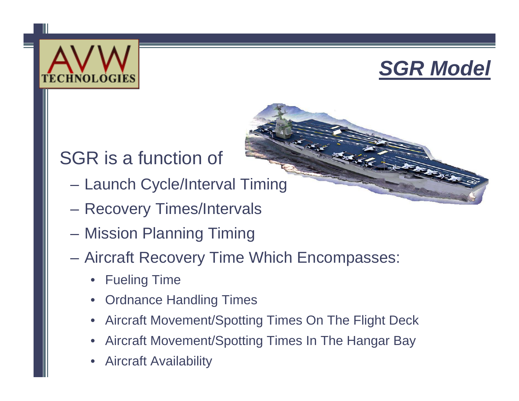



#### SGR is a function of

- Launch Cycle/Interval Timing
- Recovery Times/Intervals
- Mission Planning Timing
- Aircraft Recovery Time Which Encompasses:
	- •Fueling Time
	- $\bullet$ Ordnance Handling Times
	- •Aircraft Movement/Spotting Times On The Flight Deck
	- •Aircraft Movement/Spotting Times In The Hangar Bay
	- •Aircraft Availability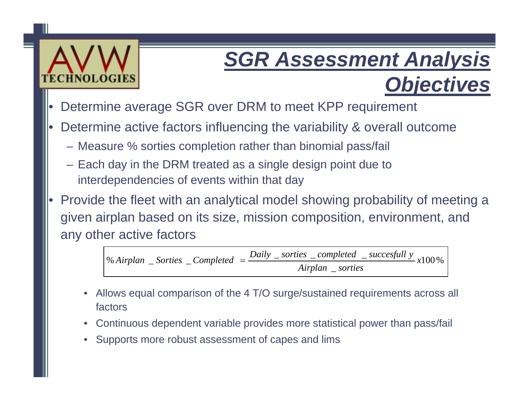# ITECHNOLOG

## *SGR Assessment Analysis*

*Objectives*

- •Determine average SGR over DRM to meet KPP requirement
- • Determine active factors influencing the variability & overall outcome
	- Measure % sorties completion rather than binomial pass/fail
	- Each day in the DRM treated as a single design point due to interdependencies of events within that day
- • Provide the fleet with an analytical model showing probability of meeting a given airplan based on its size, mission composition, environment, and any other active factors

%100 \_ *Airplan sorties* % Airplan \_ Sorties \_ Completed =  $\frac{Daily}{}$  \_ sorties \_ completed \_ succesfull y x

- • Allows equal comparison of the 4 T/O surge/sustained requirements across all factors
- •Continuous dependent variable provides more statistical power than pass/fail
- •Supports more robust assessment of capes and lims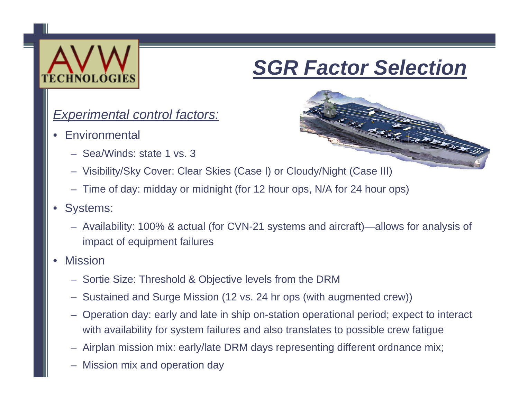

#### *SGR Factor Selection*

#### *Experimental control factors:*

- •**Environmental** 
	- Sea/Winds: state 1 vs. 3



- Visibility/Sky Cover: Clear Skies (Case I) or Cloudy/Night (Case III)
- Time of day: midday or midnight (for 12 hour ops, N/A for 24 hour ops)
- • Systems:
	- Availability: 100% & actual (for CVN-21 systems and aircraft)—allows for analysis of impact of equipment failures
- • Mission
	- Sortie Size: Threshold & Objective levels from the DRM
	- Sustained and Surge Mission (12 vs. 24 hr ops (with augmented crew))
	- Operation day: early and late in ship on-station operational period; expect to interact with availability for system failures and also translates to possible crew fatigue
	- Airplan mission mix: early/late DRM days representing different ordnance mix;
	- –Mission mix and operation day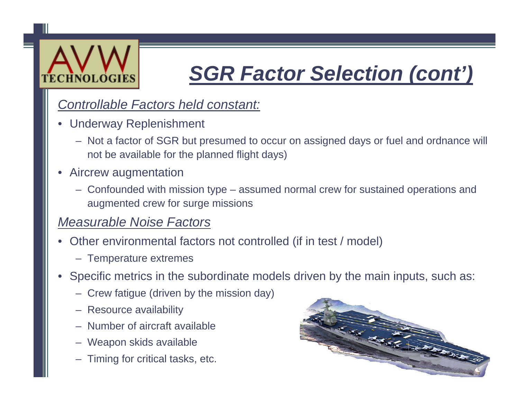

### *SGR Factor Selection (cont')*

#### *Controllable Factors held constant:*

- Underway Replenishment
	- Not a factor of SGR but presumed to occur on assigned days or fuel and ordnance will not be available for the planned flight days)
- • Aircrew augmentation
	- Confounded with mission type assumed normal crew for sustained operations and augmented crew for surge missions

#### *Measurable Noise Factors*

- • Other environmental factors not controlled (if in test / model)
	- Temperature extremes
- Specific metrics in the subordinate models driven by the main inputs, such as:
	- Crew fatigue (driven by the mission day)
	- Resource availability
	- Number of aircraft available
	- Weapon skids available
	- Timing for critical tasks, etc.

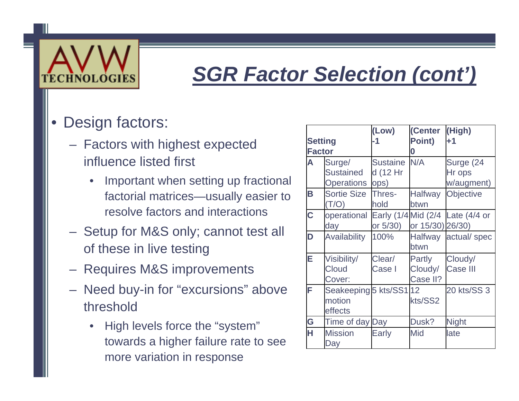

#### *SGR Factor Selection (cont')*

#### •Design factors:

- – Factors with highest expected influence listed first
	- • Important when setting up fractional factorial matrices—usually easier to resolve factors and interactions
- Setup for M&S only; cannot test all of these in live testing
- $\mathcal{L}_{\mathcal{A}}$  , and the set of  $\mathcal{L}_{\mathcal{A}}$ Requires M&S improvements
- $\mathcal{L}_{\mathcal{A}}$  , and the set of  $\mathcal{L}_{\mathcal{A}}$  Need buy-in for "excursions" above threshold
	- • High levels force the "system" towards a higher failure rate to see more variation in response

| <b>Setting</b><br><b>Factor</b> |                                                 | (Low)<br>-1                          | (Center<br>Point)<br>0        | (High)<br>$+1$                            |  |
|---------------------------------|-------------------------------------------------|--------------------------------------|-------------------------------|-------------------------------------------|--|
| A                               | Surge/<br><b>Sustained</b><br><b>Operations</b> | <b>Sustaine</b><br>d (12 Hr<br>lops) | N/A                           | Surge (24<br>Hr ops<br>w/augment)         |  |
| Β                               | <b>Sortie Size</b><br>(T/O)                     | Thres-<br>hold                       | <b>Halfway</b><br>btwn        | <b>Objective</b>                          |  |
| Ć                               | operational<br>day                              | or 5/30)                             | or 15/30) 26/30)              | Early $(1/4)$ Mid $(2/4)$ Late $(4/4)$ or |  |
| D                               | Availability                                    | 100%                                 | <b>Halfway</b><br>btwn        | actual/spec                               |  |
| E                               | Visibility/<br>Cloud<br>Cover:                  | Clear/<br>Case I                     | Partly<br>Cloudy/<br>Case II? | Cloudy/<br><b>Case III</b>                |  |
| F                               | Seakeeping 5 kts/SS1 12<br>motion<br>effects    |                                      | kts/SS2                       | 20 kts/SS 3                               |  |
| G                               | Time of day Day                                 |                                      | Dusk?                         | <b>Night</b>                              |  |
| H                               | <b>Mission</b><br>Day                           | <b>Early</b>                         | Mid                           | late                                      |  |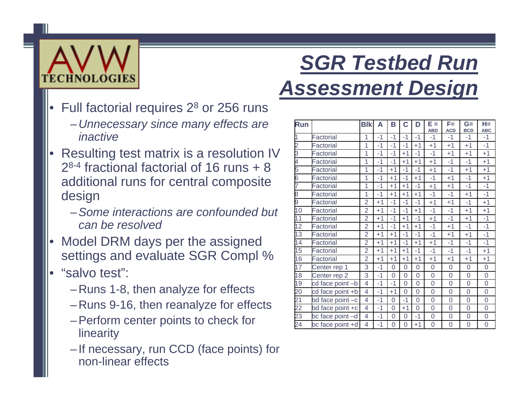

## *SGR Testbed Run Assessment Design*

- • Full factorial requires 2 8 or 256 runs
	- *Unnecessary since many effects are inactive*
- • Resulting test matrix is a resolution IV  $2^{8-4}$  fractional factorial of 16 runs  $+8$ additional runs for central composite design
	- –*Some interactions are confounded but can be resolved*
- • Model DRM days per the assigned settings and evaluate SGR Compl %
- • "salvo test":
	- Runs 1-8, then analyze for effects
	- Runs 9-16, then reanalyze for effects
	- Perform center points to check for linearity
	- If necessary, run CCD (face points) for non-linear effects

| Run             |                  | <b>Blk</b>     | Α    | B              | C              | D              | E =            | F=             | $G=$           | $H =$               |
|-----------------|------------------|----------------|------|----------------|----------------|----------------|----------------|----------------|----------------|---------------------|
|                 |                  |                |      |                |                |                | <b>ABD</b>     | <b>ACD</b>     | <b>BCD</b>     | <b>ABC</b>          |
| 1               | Factorial        | 1              | $-1$ | $-1$           | $-1$           | $-1$           | $-1$           | $-1$           | $-1$           | -1                  |
| $\overline{c}$  | Factorial        | $\overline{1}$ | $-1$ | $-1$           | $-1$           | $+1$           | $+1$           | $+1$           | $+1$           | $-1$                |
| 3               | Factorial        | $\overline{1}$ | $-1$ | $-1$           | $+1$           | $-1$           | $-1$           | $+1$           | $+1$           | $+1$                |
| 4               | Factorial        | $\overline{1}$ | $-1$ | $-1$           | $+1$           | $+1$           | $+1$           | $-1$           | $-1$           | $+1$                |
| 5               | Factorial        | $\overline{1}$ | $-1$ | $+1$           | $-1$           | $-1$           | $+1$           | $-1$           | $+1$           | $+1$                |
| 6               | Factorial        | 1              | $-1$ | $+1$           | $-1$           | $+1$           | $-1$           | $+1$           | $-1$           | $+1$                |
|                 | Factorial        | $\overline{1}$ | $-1$ | $+1$           | $+1$           | $-1$           | $+1$           | $+1$           | $-1$           | $-1$                |
| 8               | Factorial        | 1              | $-1$ | $+1$           | $+1$           | $+1$           | $-1$           | $-1$           | $+1$           | $-1$                |
| 9               | Factorial        | $\overline{2}$ | $+1$ | $-1$           | $-1$           | $-1$           | $+1$           | $+1$           | $-1$           | $+1$                |
| 10              | Factorial        | $\overline{2}$ | $+1$ | $-1$           | $-1$           | $+1$           | $-1$           | $-1$           | $+1$           | $+1$                |
| $\overline{11}$ | Factorial        | $\overline{2}$ | $+1$ | $-1$           | $+1$           | $-1$           | $+1$           | $-1$           | $+1$           | $-1$                |
| $\overline{12}$ | Factorial        | $\overline{2}$ | $+1$ | $-1$           | $+1$           | $+1$           | $-1$           | $+1$           | $-1$           | $-1$                |
| $\overline{13}$ | Factorial        | $\overline{2}$ | $+1$ | $+1$           | $-1$           | $-1$           | $-1$           | $+1$           | $+1$           | $-1$                |
| 14              | Factorial        | $\overline{2}$ | $+1$ | $+1$           | $-1$           | $+1$           | $+1$           | $-1$           | $-1$           | $-1$                |
| $\overline{15}$ | Factorial        | $\overline{2}$ | $+1$ | $+1$           | $+1$           | $-1$           | $-1$           | $-1$           | $-1$           | $+1$                |
| 16              | Factorial        | $\overline{2}$ | $+1$ | $+1$           | $+1$           | $+1$           | $+1$           | $+1$           | $+1$           | $+1$                |
| 17              | Center rep 1     | 3              | $-1$ | 0              | $\overline{0}$ | $\overline{0}$ | 0              | 0              | 0              | 0                   |
| $\overline{18}$ | Center rep 2     | $\overline{3}$ | $-1$ | $\overline{O}$ | $\overline{0}$ | $\overline{0}$ | $\overline{0}$ | $\overline{0}$ | $\overline{0}$ | $\overline{0}$      |
| 19              | cd face point -b | $\overline{4}$ | $-1$ | $-1$           | $\overline{0}$ | $\overline{0}$ | 0              | $\overline{0}$ | $\overline{0}$ | $\overline{0}$      |
| 20              | cd face point +b | $\overline{4}$ | $-1$ | $+1$           | $\overline{0}$ | $\overline{0}$ | $\overline{0}$ | $\mathbf 0$    | $\overline{0}$ | $\overline{0}$      |
| $\overline{21}$ | bd face point -c | $\overline{4}$ | $-1$ | $\overline{0}$ | $-1$           | 0              | $\overline{0}$ | $\mathbf 0$    | $\overline{0}$ | 0                   |
| 22              | bd face point +c | $\overline{4}$ | $-1$ | $\overline{0}$ | $+1$           | $\overline{0}$ | 0              | $\overline{0}$ | $\mathbf 0$    | $\mathbf 0$         |
| 23              | bc face point -d | $\overline{4}$ | $-1$ | $\overline{0}$ | $\overline{0}$ | $-1$           | $\overline{0}$ | $\overline{0}$ | $\overline{0}$ | $\mathsf 0$         |
| 24              | bc face point +d | 4              | $-1$ | $\overline{0}$ | 0              | $+1$           | $\overline{0}$ | $\overline{0}$ | $\overline{0}$ | $\mathsf{O}\xspace$ |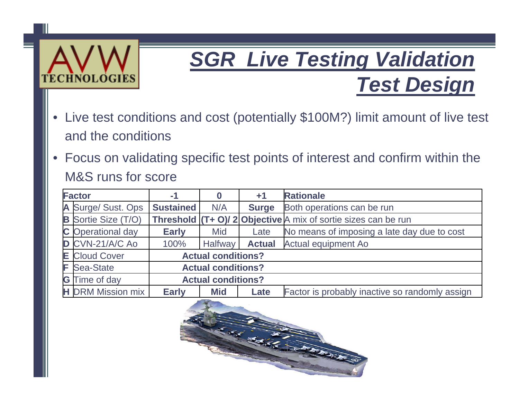

#### *SGR Live Testing Validation Test Design*

- $\bullet$  Live test conditions and cost (potentially \$100M?) limit amount of live test and the conditions
- • Focus on validating specific test points of interest and confirm within the M&S runs for score

| <b>Factor</b> |                            | $-1$                      |                           | $+1$          | <b>Rationale</b>                                                      |  |
|---------------|----------------------------|---------------------------|---------------------------|---------------|-----------------------------------------------------------------------|--|
|               | A Surge/ Sust. Ops         | <b>Sustained</b>          | N/A                       | <b>Surge</b>  | Both operations can be run                                            |  |
|               | <b>B</b> Sortie Size (T/O) |                           |                           |               | <b>Threshold (T+ O)/ 2 Objective</b> A mix of sortie sizes can be run |  |
|               | C Operational day          | <b>Early</b>              | Mid                       | Late          | No means of imposing a late day due to cost                           |  |
|               | D CVN-21/A/C Ao            | 100%                      | <b>Halfway</b>            | <b>Actual</b> | Actual equipment Ao                                                   |  |
|               | <b>E</b> Cloud Cover       | <b>Actual conditions?</b> |                           |               |                                                                       |  |
|               | <b>F</b> Sea-State         | <b>Actual conditions?</b> |                           |               |                                                                       |  |
|               | <b>G</b> Time of day       |                           | <b>Actual conditions?</b> |               |                                                                       |  |
|               | <b>H</b> DRM Mission mix   | <b>Early</b>              | <b>Mid</b>                | Late          | Factor is probably inactive so randomly assign                        |  |

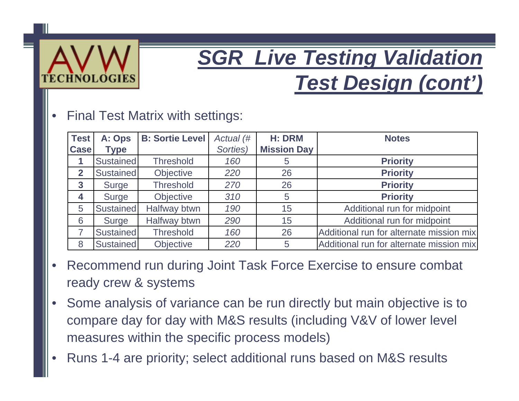

### *SGR Live Testing Validation Test Design (cont')*

#### •Final Test Matrix with settings:

| $ $ Test<br><b>Case</b> | A: Ops<br><b>Type</b> | <b>B: Sortie Level</b> | Actual (#<br>Sorties) | <b>H: DRM</b><br><b>Mission Day</b> | <b>Notes</b>                             |
|-------------------------|-----------------------|------------------------|-----------------------|-------------------------------------|------------------------------------------|
|                         |                       |                        |                       |                                     |                                          |
|                         | Sustained             | <b>Threshold</b>       | 160                   | $\overline{5}$                      | <b>Priority</b>                          |
| $\overline{2}$          | <b>Sustained</b>      | Objective              | 220                   | 26                                  | <b>Priority</b>                          |
| $\mathbf{3}$            | Surge                 | <b>Threshold</b>       | 270                   | 26                                  | <b>Priority</b>                          |
| 4                       | Surge                 | Objective              | 310                   | 5                                   | <b>Priority</b>                          |
| 5                       | <b>Sustained</b>      | Halfway btwn           | 190                   | 15                                  | Additional run for midpoint              |
| 6                       | Surge                 | Halfway btwn           | 290                   | 15                                  | Additional run for midpoint              |
| $\overline{7}$          | Sustained             | <b>Threshold</b>       | 160                   | 26                                  | Additional run for alternate mission mix |
| 8                       | <b>Sustained</b>      | Objective              | 220                   | 5                                   | Additional run for alternate mission mix |

- • Recommend run during Joint Task Force Exercise to ensure combat ready crew & systems
- • Some analysis of variance can be run directly but main objective is to compare day for day with M&S results (including V&V of lower level measures within the specific process models)
- •Runs 1-4 are priority; select additional runs based on M&S results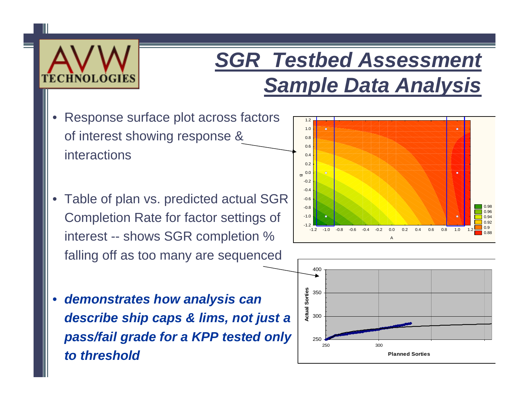

#### *SGR Testbed Assessment Sample Data Analysis*

- • Response surface plot across factors of interest showing response & interactions
- • Table of plan vs. predicted actual SGR Completion Rate for factor settings of interest -- shows SGR completion % falling off as too many are sequenced



• *demonstrates how analysis can describe ship caps & lims, not just a pass/fail grade for a KPP tested only to threshold*

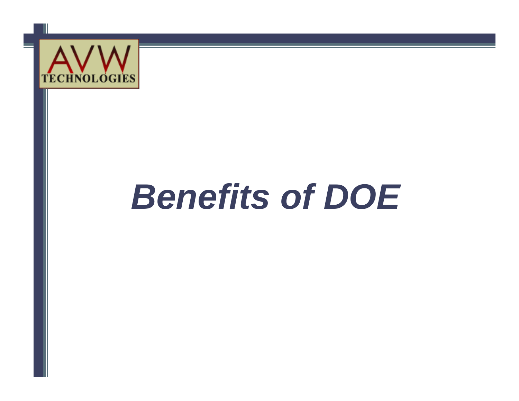

# *Benefits of DOE*